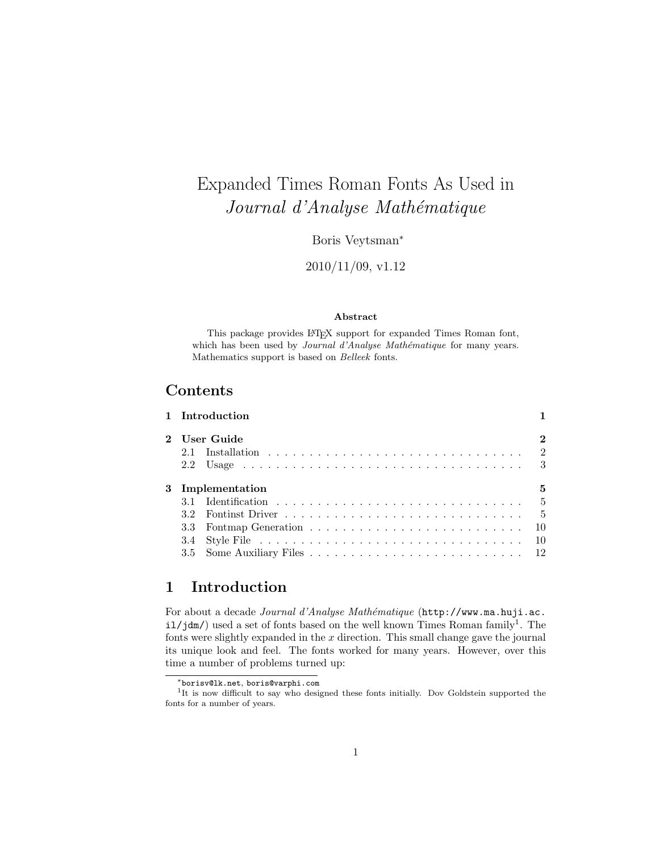# Expanded Times Roman Fonts As Used in Journal d'Analyse Mathématique

Boris Veytsman<sup>∗</sup>

2010/11/09, v1.12

#### Abstract

This package provides L<sup>AT</sup>EX support for expanded Times Roman font, which has been used by Journal d'Analyse Mathématique for many years. Mathematics support is based on Belleek fonts.

## Contents

|     | 1 Introduction                                                            |              |
|-----|---------------------------------------------------------------------------|--------------|
|     | 2 User Guide                                                              | $\mathbf{2}$ |
| 2.1 |                                                                           |              |
|     |                                                                           |              |
|     | 3 Implementation                                                          | 5            |
|     |                                                                           |              |
|     | Fontinst Driver $\ldots \ldots \ldots \ldots \ldots \ldots \ldots \ldots$ |              |
|     |                                                                           |              |
|     |                                                                           |              |
|     |                                                                           |              |
|     |                                                                           |              |

## <span id="page-0-0"></span>1 Introduction

For about a decade Journal d'Analyse Mathématique ([http://www.ma.huji.ac.](http://www.ma.huji.ac.il/jdm/)  $i1/jdm$  $i1/jdm$  $i1/jdm$ ) used a set of fonts based on the well known Times Roman family<sup>1</sup>. The fonts were slightly expanded in the  $x$  direction. This small change gave the journal its unique look and feel. The fonts worked for many years. However, over this time a number of problems turned up:

<span id="page-0-1"></span><sup>∗</sup>[borisv@lk.net](mailto:borisv@lk.net), [boris@varphi.com](mailto:boris@varphi.com)

<sup>&</sup>lt;sup>1</sup>It is now difficult to say who designed these fonts initially. Dov Goldstein supported the fonts for a number of years.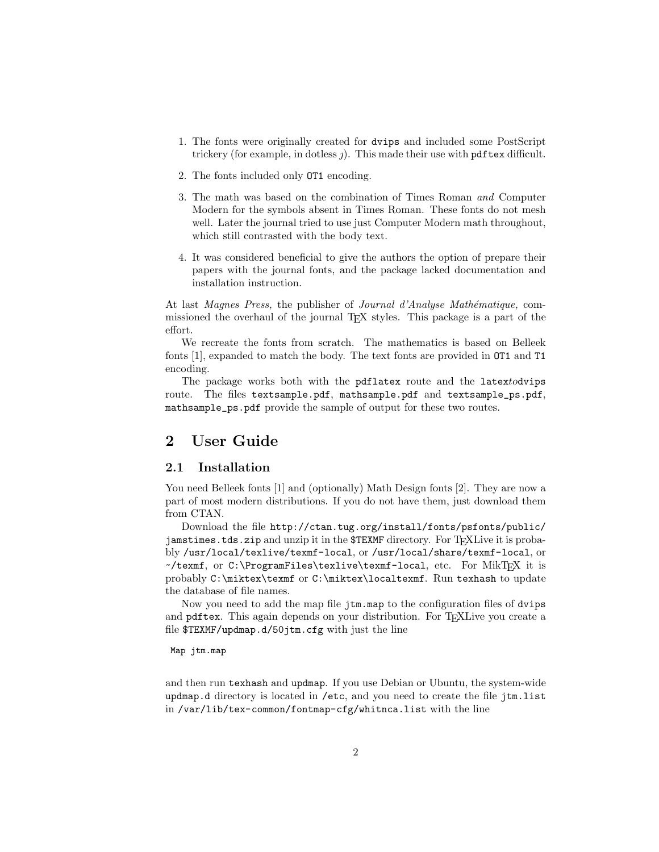- 1. The fonts were originally created for dvips and included some PostScript trickery (for example, in dotless  $j$ ). This made their use with pdftex difficult.
- 2. The fonts included only OT1 encoding.
- 3. The math was based on the combination of Times Roman and Computer Modern for the symbols absent in Times Roman. These fonts do not mesh well. Later the journal tried to use just Computer Modern math throughout, which still contrasted with the body text.
- 4. It was considered beneficial to give the authors the option of prepare their papers with the journal fonts, and the package lacked documentation and installation instruction.

At last Magnes Press, the publisher of Journal d'Analyse Mathématique, commissioned the overhaul of the journal TEX styles. This package is a part of the effort.

We recreate the fonts from scratch. The mathematics is based on Belleek fonts [\[1\]](#page-18-0), expanded to match the body. The text fonts are provided in OT1 and T1 encoding.

The package works both with the pdflatex route and the latextodvips route. The files textsample.pdf, mathsample.pdf and textsample\_ps.pdf, mathsample\_ps.pdf provide the sample of output for these two routes.

## <span id="page-1-0"></span>2 User Guide

### <span id="page-1-1"></span>2.1 Installation

You need Belleek fonts [\[1\]](#page-18-0) and (optionally) Math Design fonts [\[2\]](#page-18-1). They are now a part of most modern distributions. If you do not have them, just download them from CTAN.

Download the file [http://ctan.tug.org/install/fonts/psfonts/public/](http://ctan.tug.org/install/fonts/psfonts/public/jamstimes.tds.zip) [jamstimes.tds.zip](http://ctan.tug.org/install/fonts/psfonts/public/jamstimes.tds.zip) and unzip it in the \$TEXMF directory. For TFXLive it is probably /usr/local/texlive/texmf-local, or /usr/local/share/texmf-local, or  $\checkmark$ texmf, or C:\ProgramFiles\texlive\texmf-local, etc. For MikT<sub>F</sub>X it is probably C:\miktex\texmf or C:\miktex\localtexmf. Run texhash to update the database of file names.

Now you need to add the map file jtm.map to the configuration files of dvips and pdftex. This again depends on your distribution. For TEXLive you create a file \$TEXMF/updmap.d/50jtm.cfg with just the line

#### Map jtm.map

and then run texhash and updmap. If you use Debian or Ubuntu, the system-wide updmap.d directory is located in /etc, and you need to create the file jtm.list in /var/lib/tex-common/fontmap-cfg/whitnca.list with the line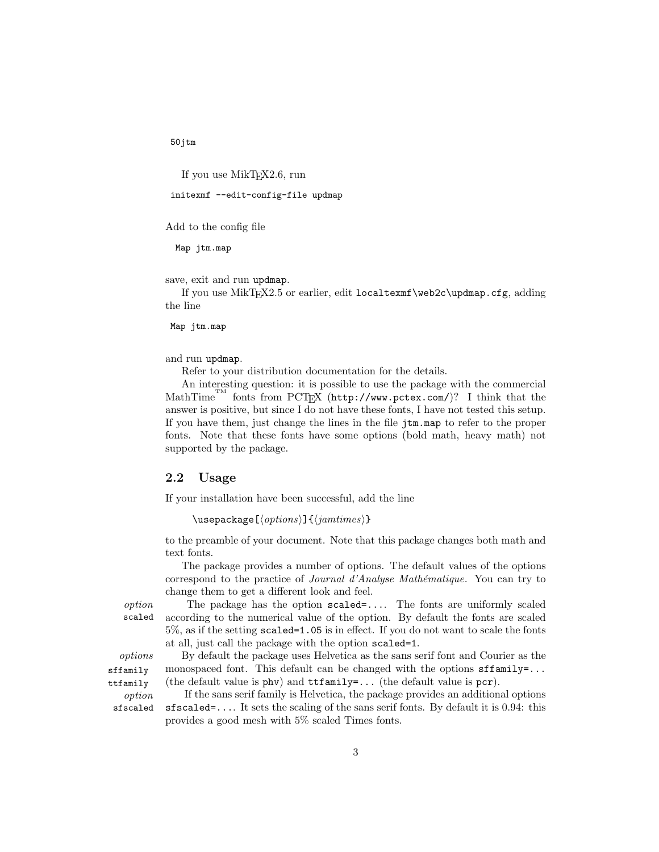50jtm

If you use MikTEX2.6, run

initexmf --edit-config-file updmap

Add to the config file

Map jtm.map

save, exit and run updmap.

If you use MikTFX2.5 or earlier, edit localtexmf\web2c\updmap.cfg, adding the line

Map jtm.map

and run updmap.

Refer to your distribution documentation for the details.

An interesting question: it is possible to use the package with the commercial MathTime<sup>TM</sup> fonts from PCT<sub>E</sub>X (<http://www.pctex.com/>)? I think that the answer is positive, but since I do not have these fonts, I have not tested this setup. If you have them, just change the lines in the file jtm.map to refer to the proper fonts. Note that these fonts have some options (bold math, heavy math) not supported by the package.

### <span id="page-2-0"></span>2.2 Usage

If your installation have been successful, add the line

```
\text{N}usepackage[\text{options}]{\text{dim}(\text{times})}
```
to the preamble of your document. Note that this package changes both math and text fonts.

The package provides a number of options. The default values of the options correspond to the practice of *Journal d'Analyse Mathématique*. You can try to change them to get a different look and feel.

option The package has the option scaled=.... The fonts are uniformly scaled scaled according to the numerical value of the option. By default the fonts are scaled 5%, as if the setting scaled=1.05 is in effect. If you do not want to scale the fonts at all, just call the package with the option scaled=1.

options By default the package uses Helvetica as the sans serif font and Courier as the monospaced font. This default can be changed with the options  $\texttt{sfamily-}\ldots$ (the default value is phv) and ttfamily=... (the default value is pcr).

ttfamily

sffamily

option If the sans serif family is Helvetica, the package provides an additional options sfscaled sfscaled=.... It sets the scaling of the sans serif fonts. By default it is 0.94: this provides a good mesh with 5% scaled Times fonts.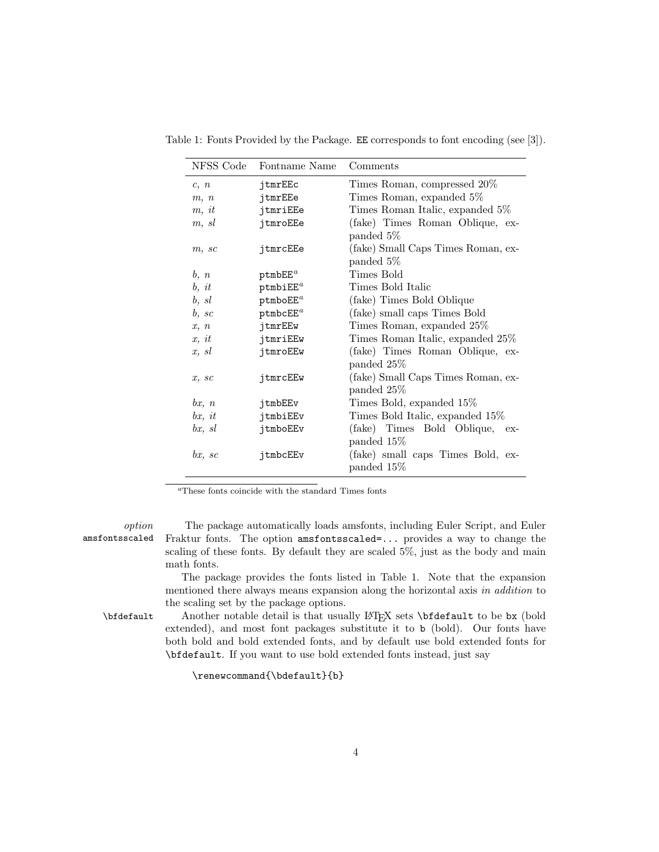<span id="page-3-1"></span>

| NFSS Code | Fontname Name        | Comments                            |
|-----------|----------------------|-------------------------------------|
| c, n      | jtmrEEc              | Times Roman, compressed 20%         |
| m, n      | jtmrEEe              | Times Roman, expanded 5%            |
| m, it     | jtmriEEe             | Times Roman Italic, expanded 5%     |
| m, sl     | jtmroEEe             | (fake) Times Roman Oblique, ex-     |
|           |                      | panded 5\%                          |
| m, sc     | jtmrcEEe             | (fake) Small Caps Times Roman, ex-  |
|           |                      | panded 5\%                          |
| b, n      | ptmbEE <sup>a</sup>  | Times Bold                          |
| b, it     | ptmbiEE <sup>a</sup> | Times Bold Italic                   |
| b, sl     | ptmboEE <sup>a</sup> | (fake) Times Bold Oblique           |
| b, sc     | ptmbcEE <sup>a</sup> | (fake) small caps Times Bold        |
| x, n      | jtmrEEw              | Times Roman, expanded 25%           |
| x, it     | jtmriEEw             | Times Roman Italic, expanded 25%    |
| x, sl     | jtmroEEw             | (fake) Times Roman Oblique, ex-     |
|           |                      | panded 25%                          |
| x, sc     | jtmrcEEw             | (fake) Small Caps Times Roman, ex-  |
|           |                      | panded 25%                          |
| bx, n     | jtmbEEv              | Times Bold, expanded 15%            |
| bx, it    | jtmbiEEv             | Times Bold Italic, expanded 15%     |
| bx, sl    | jtmboEEv             | (fake) Times Bold Oblique,<br>$ex-$ |
|           |                      | panded 15%                          |
| bx, sc    | jtmbcEEv             | (fake) small caps Times Bold, ex-   |
|           |                      | panded 15%                          |

Table 1: Fonts Provided by the Package. EE corresponds to font encoding (see [\[3\]](#page-18-2)).

<span id="page-3-0"></span><sup>a</sup>These fonts coincide with the standard Times fonts

option The package automatically loads amsfonts, including Euler Script, and Euler amsfontsscaled Fraktur fonts. The option amsfontsscaled=... provides a way to change the scaling of these fonts. By default they are scaled 5%, just as the body and main math fonts.

> The package provides the fonts listed in Table [1.](#page-3-1) Note that the expansion mentioned there always means expansion along the horizontal axis in addition to the scaling set by the package options.

\bfdefault Another notable detail is that usually LATEX sets \bfdefault to be bx (bold extended), and most font packages substitute it to b (bold). Our fonts have both bold and bold extended fonts, and by default use bold extended fonts for \bfdefault. If you want to use bold extended fonts instead, just say

\renewcommand{\bdefault}{b}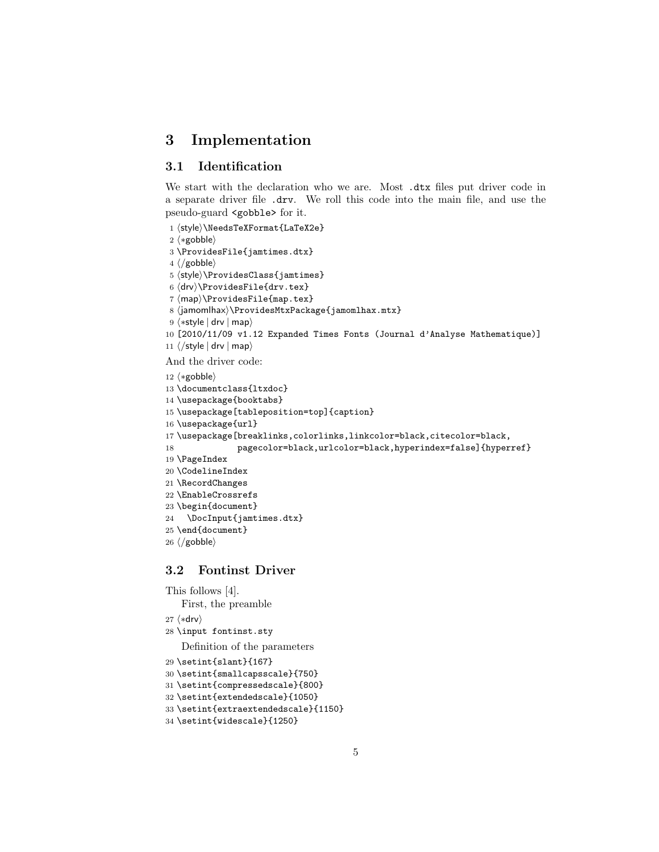## <span id="page-4-0"></span>3 Implementation

## <span id="page-4-1"></span>3.1 Identification

We start with the declaration who we are. Most .dtx files put driver code in a separate driver file .drv. We roll this code into the main file, and use the pseudo-guard <gobble> for it.

```
1 (style)\NeedsTeXFormat{LaTeX2e}
```

```
2 \langle \ast \text{gobble} \rangle
```

```
3 \ProvidesFile{jamtimes.dtx}
```

```
4 \langle /gobble \rangle
```

```
5 \langle style\rangle\langle\ ProvidesClass\{jamtimes\}
```

```
6 \langledrv\rangle\ProvidesFile{drv.tex}
```

```
7 \langle map \rangle \ProvidesFile{map.tex}
```

```
8 (jamomlhax)\ProvidesMtxPackage{jamomlhax.mtx}
```

```
9 \langle *style | drv | map \rangle
```

```
10 [2010/11/09 v1.12 Expanded Times Fonts (Journal d'Analyse Mathematique)]
```

```
11 \langle/style | drv | map\rangle
```
And the driver code:

```
12 \langle \ast \text{gobble} \rangle13 \documentclass{ltxdoc}
14 \usepackage{booktabs}
15 \usepackage[tableposition=top]{caption}
16 \usepackage{url}
17 \usepackage[breaklinks,colorlinks,linkcolor=black,citecolor=black,
18 pagecolor=black,urlcolor=black,hyperindex=false]{hyperref}
19 \PageIndex
20 \CodelineIndex
21 \RecordChanges
22 \EnableCrossrefs
23 \begin{document}
24 \DocInput{jamtimes.dtx}
25 \ \end{document}
```

```
26 \langle/gobble\rangle
```
## <span id="page-4-2"></span>3.2 Fontinst Driver

```
This follows [4].
   First, the preamble
27 \langle *div \rangle28 \input fontinst.sty
   Definition of the parameters
29 \setint{slant}{167}
30 \setint{smallcapsscale}{750}
31 \setint{compressedscale}{800}
32 \setint{extendedscale}{1050}
33 \setint{extraextendedscale}{1150}
```

```
34 \setint{widescale}{1250}
```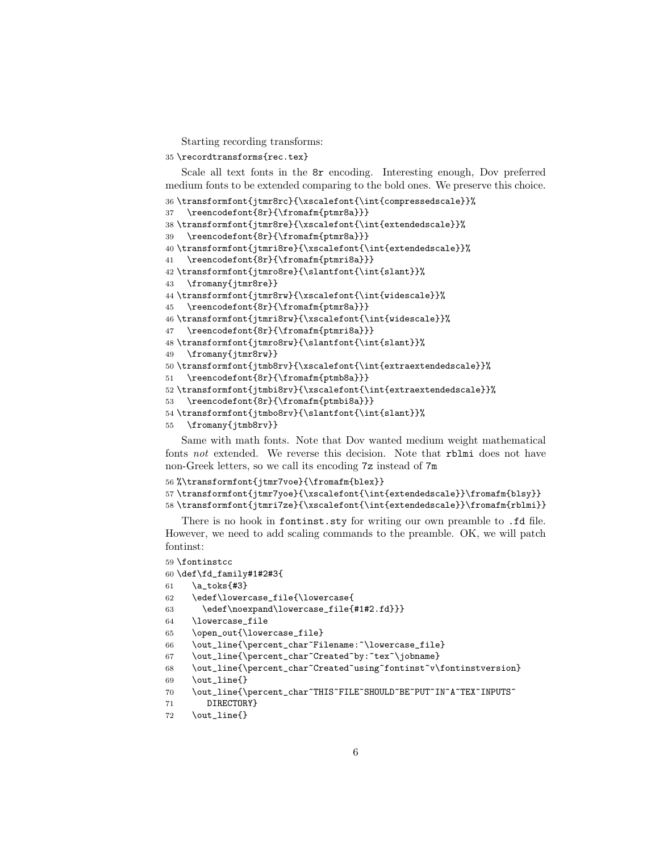Starting recording transforms:

\recordtransforms{rec.tex}

Scale all text fonts in the 8r encoding. Interesting enough, Dov preferred medium fonts to be extended comparing to the bold ones. We preserve this choice.

```
36 \transformfont{jtmr8rc}{\xscalefont{\int{compressedscale}}%
```

```
37 \reencodefont{8r}{\fromafm{ptmr8a}}}
```
\transformfont{jtmr8re}{\xscalefont{\int{extendedscale}}%

\reencodefont{8r}{\fromafm{ptmr8a}}}

```
40 \transformfont{jtmri8re}{\xscalefont{\int{extendedscale}}%
```
\reencodefont{8r}{\fromafm{ptmri8a}}}

```
42 \transformfont{jtmro8re}{\slantfont{\int{slant}}%
```

```
43 \fromany{jtmr8re}}
```

```
44 \transformfont{jtmr8rw}{\xscalefont{\int{widescale}}%
```

```
45 \reencodefont{8r}{\fromafm{ptmr8a}}}
```

```
46 \transformfont{jtmri8rw}{\xscalefont{\int{widescale}}%
```

```
47 \reencodefont{8r}{\fromafm{ptmri8a}}}
```

```
48 \transformfont{jtmro8rw}{\slantfont{\int{slant}}%
```

```
49 \fromany{jtmr8rw}}
```

```
50 \transformfont{jtmb8rv}{\xscalefont{\int{extraextendedscale}}%
```

```
51 \reencodefont{8r}{\fromafm{ptmb8a}}}
```

```
52 \transformfont{jtmbi8rv}{\xscalefont{\int{extraextendedscale}}%
```

```
53 \reencodefont{8r}{\fromafm{ptmbi8a}}}
```

```
54 \transformfont{jtmbo8rv}{\slantfont{\int{slant}}%
```

```
55 \fromany{jtmb8rv}}
```
Same with math fonts. Note that Dov wanted medium weight mathematical fonts not extended. We reverse this decision. Note that rblmi does not have non-Greek letters, so we call its encoding 7z instead of 7m

```
56 %\transformfont{jtmr7voe}{\fromafm{blex}}
57 \transformfont{jtmr7yoe}{\xscalefont{\int{extendedscale}}\fromafm{blsy}}
58 \transformfont{jtmri7ze}{\xscalefont{\int{extendedscale}}\fromafm{rblmi}}
```
There is no hook in fontinst.sty for writing our own preamble to .fd file. However, we need to add scaling commands to the preamble. OK, we will patch fontinst:

```
59 \fontinstcc
60 \def\fd_family#1#2#3{
61 \a_toks{#3}
62 \edef\lowercase_file{\lowercase{
63 \edef\noexpand\lowercase_file{#1#2.fd}}}
64 \lowercase_file
65 \open_out{\lowercase_file}
66 \out_line{\percent_char~Filename:~\lowercase_file}
67 \out_line{\percent_char~Created~by:~tex~\jobname}
68 \out_line{\percent_char~Created~using~fontinst~v\fontinstversion}
69 \quad \text{out} line{}
70 \out_line{\percent_char~THIS~FILE~SHOULD~BE~PUT~IN~A~TEX~INPUTS~
71 DIRECTORY}
72 \out_line{}
```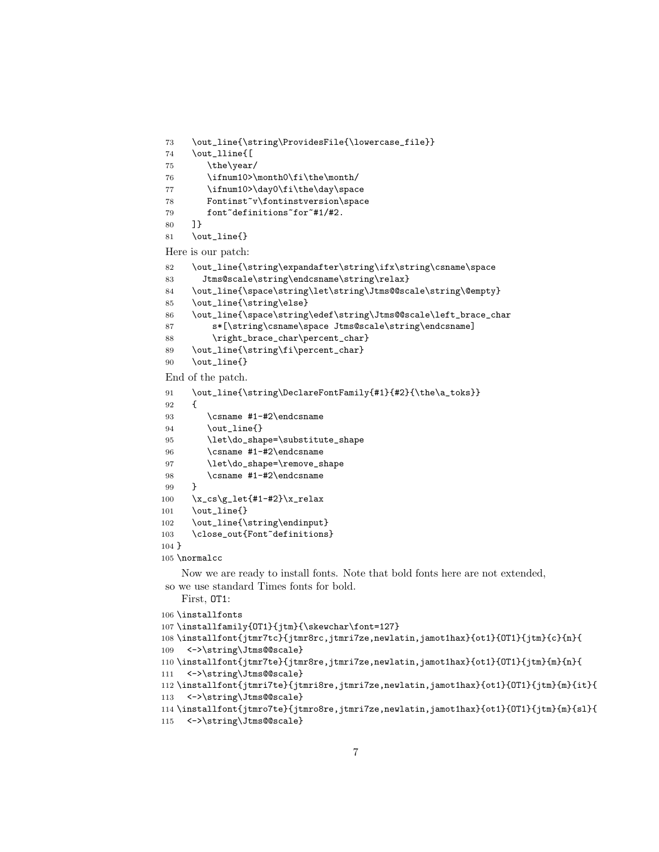```
73 \out_line{\string\ProvidesFile{\lowercase_file}}
74 \out_lline{[
75 \the\year/
76 \ifnum10>\month0\fi\the\month/
77 \ifnum10>\day0\fi\the\day\space
78 Fontinst<sup>~</sup>v\fontinstversion\space
79 font~definitions~for~#1/#2.
80 ]}
81 \out_line{}
```
Here is our patch:

```
82 \out_line{\string\expandafter\string\ifx\string\csname\space
83 Jtms@scale\string\endcsname\string\relax}
84 \out_line{\space\string\let\string\Jtms@@scale\string\@empty}
85 \out_line{\string\else}
86 \out_line{\space\string\edef\string\Jtms@@scale\left_brace_char
87 s*[\string\csname\space Jtms@scale\string\endcsname]
88 \right_brace_char\percent_char}
89 \out_line{\string\fi\percent_char}
90 \out_line{}
```
End of the patch.

```
91 \out_line{\string\DeclareFontFamily{#1}{#2}{\the\a_toks}}
92 {
93 \csname #1-#2\endcsname
94 \out_line{}
95 \let\do_shape=\substitute_shape
96 \csname #1-#2\endcsname
97 \let\do_shape=\remove_shape
98 \csname #1-#2\endcsname
99 }
100 \x_cs\gtrsim100 \x_cs\gtrsim100101 \out_line{}
102 \out_line{\string\endinput}
103 \close_out{Font~definitions}
104 }
105 \normalcc
```
Now we are ready to install fonts. Note that bold fonts here are not extended, so we use standard Times fonts for bold.

```
First, OT1:
106 \installfonts
107\installfamily{OT1}{jtm}{\skewchar\font=127}
108 \installfont{jtmr7tc}{jtmr8rc,jtmri7ze,newlatin,jamot1hax}{ot1}{OT1}{jtm}{c}{n}{
109 <->\string\Jtms@@scale}
110 \installfont{jtmr7te}{jtmr8re,jtmri7ze,newlatin,jamot1hax}{ot1}{OT1}{jtm}{m}{n}{
111 <->\string\Jtms@@scale}
112 \installfont{jtmri7te}{jtmri8re,jtmri7ze,newlatin,jamot1hax}{ot1}{OT1}{jtm}{m}{it}{
113 <->\string\Jtms@@scale}
114 \installfont{jtmro7te}{jtmro8re,jtmri7ze,newlatin,jamot1hax}{ot1}{OT1}{jtm}{m}{sl}{
115 <->\string\Jtms@@scale}
```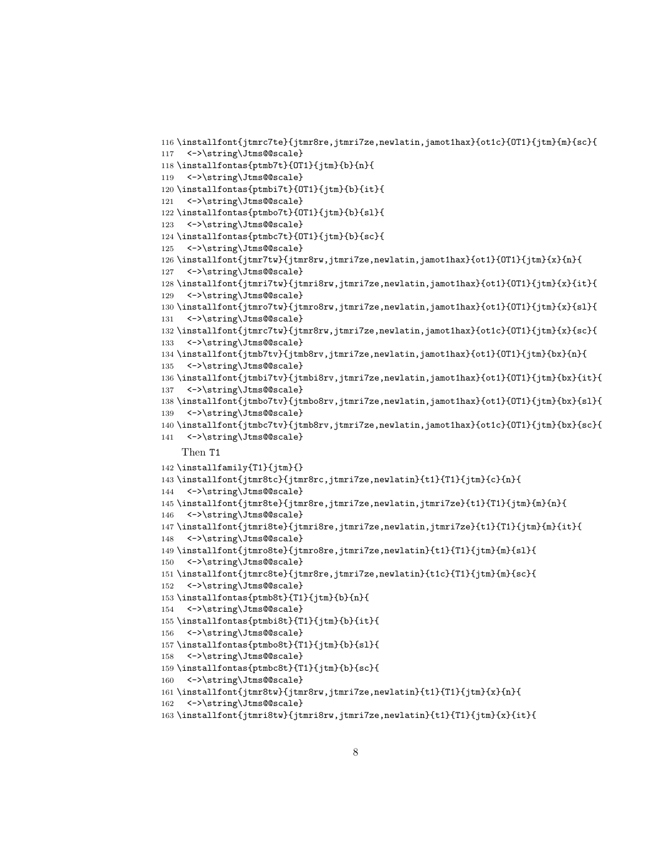```
116 \installfont{jtmrc7te}{jtmr8re,jtmri7ze,newlatin,jamot1hax}{ot1c}{OT1}{jtm}{m}{sc}{
117 <->\string\Jtms@@scale}
118 \installfontas{ptmb7t}{OT1}{jtm}{b}{n}{
119 <->\string\Jtms@@scale}
120 \installfontas{ptmbi7t}{OT1}{jtm}{b}{it}{
121 <->\string\Jtms@@scale}
122 \installfontas{ptmbo7t}{OT1}{jtm}{b}{sl}{
123 <->\string\Jtms@@scale}
124 \installfontas{ptmbc7t}{OT1}{jtm}{b}{sc}{
125 <->\string\Jtms@@scale}
126 \installfont{jtmr7tw}{jtmr8rw,jtmri7ze,newlatin,jamot1hax}{ot1}{OT1}{jtm}{x}{n}{
127 <->\string\Jtms@@scale}
128 \installfont{jtmri7tw}{jtmri8rw,jtmri7ze,newlatin,jamot1hax}{ot1}{OT1}{jtm}{x}{it}{
129 <->\string\Jtms@@scale}
130 \installfont{jtmro7tw}{jtmro8rw,jtmri7ze,newlatin,jamot1hax}{ot1}{OT1}{jtm}{x}{sl}{
131 <->\string\Jtms@@scale}
132 \installfont{jtmrc7tw}{jtmr8rw,jtmri7ze,newlatin,jamot1hax}{ot1c}{OT1}{jtm}{x}{sc}{
133 <->\string\Jtms@@scale}
134 \installfont{jtmb7tv}{jtmb8rv,jtmri7ze,newlatin,jamot1hax}{ot1}{OT1}{jtm}{bx}{n}{
135 <->\string\Jtms@@scale}
136 \installfont{jtmbi7tv}{jtmbi8rv,jtmri7ze,newlatin,jamot1hax}{ot1}{OT1}{jtm}{bx}{it}{
137 <->\string\Jtms@@scale}
138 \installfont{jtmbo7tv}{jtmbo8rv,jtmri7ze,newlatin,jamot1hax}{ot1}{OT1}{jtm}{bx}{sl}{
139 <->\string\Jtms@@scale}
140 \installfont{jtmbc7tv}{jtmb8rv,jtmri7ze,newlatin,jamot1hax}{ot1c}{OT1}{jtm}{bx}{sc}{
141 <->\string\Jtms@@scale}
    Then T1
142 \installfamily{T1}{jtm}{}
143 \installfont{jtmr8tc}{jtmr8rc,jtmri7ze,newlatin}{t1}{T1}{jtm}{c}{n}{
144 <->\string\Jtms@@scale}
145 \installfont{jtmr8te}{jtmr8re,jtmri7ze,newlatin,jtmri7ze}{t1}{T1}{jtm}{m}{n}{
146 <->\string\Jtms@@scale}
147 \installfont{jtmri8te}{jtmri8re,jtmri7ze,newlatin,jtmri7ze}{t1}{T1}{jtm}{m}{it}{
148 <->\string\Jtms@@scale}
149 \installfont{jtmro8te}{jtmro8re,jtmri7ze,newlatin}{t1}{T1}{jtm}{m}{sl}{
150 <->\string\Jtms@@scale}
151 \installfont{jtmrc8te}{jtmr8re,jtmri7ze,newlatin}{t1c}{T1}{jtm}{m}{sc}{
152 <->\string\Jtms@@scale}
153 \installfontas{ptmb8t}{T1}{jtm}{b}{n}{
154 <->\string\Jtms@@scale}
155 \installfontas{ptmbi8t}{T1}{jtm}{b}{it}{
156 <->\string\Jtms@@scale}
157 \installfontas{ptmbo8t}{T1}{jtm}{b}{sl}{
158 <->\string\Jtms@@scale}
159 \installfontas{ptmbc8t}{T1}{jtm}{b}{sc}{
160 <->\string\Jtms@@scale}
161 \installfont{jtmr8tw}{jtmr8rw,jtmri7ze,newlatin}{t1}{T1}{jtm}{x}{n}{
162 <->\string\Jtms@@scale}
163 \installfont{jtmri8tw}{jtmri8rw,jtmri7ze,newlatin}{t1}{T1}{jtm}{x}{it}{
```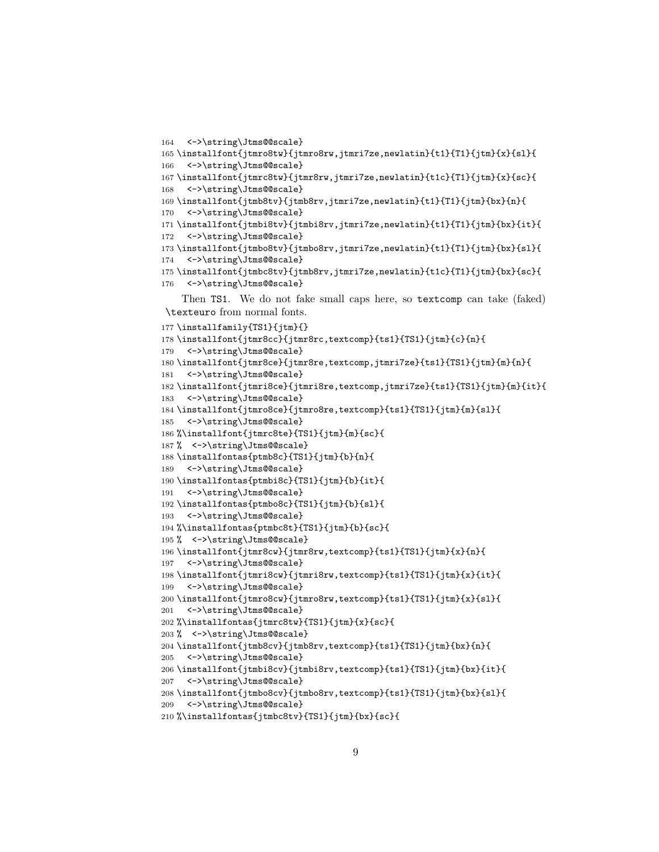```
164 <->\string\Jtms@@scale}
165 \installfont{jtmro8tw}{jtmro8rw,jtmri7ze,newlatin}{t1}{T1}{jtm}{x}{sl}{
166 <->\string\Jtms@@scale}
167 \installfont{jtmrc8tw}{jtmr8rw,jtmri7ze,newlatin}{t1c}{T1}{jtm}{x}{sc}{
168 <->\string\Jtms@@scale}
169 \installfont{jtmb8tv}{jtmb8rv,jtmri7ze,newlatin}{t1}{T1}{jtm}{bx}{n}{
170 <->\string\Jtms@@scale}
171 \installfont{jtmbi8tv}{jtmbi8rv,jtmri7ze,newlatin}{t1}{T1}{jtm}{bx}{it}{
172 <->\string\Jtms@@scale}
173 \installfont{jtmbo8tv}{jtmbo8rv,jtmri7ze,newlatin}{t1}{T1}{jtm}{bx}{sl}{
174 <->\string\Jtms@@scale}
175 \installfont{jtmbc8tv}{jtmb8rv,jtmri7ze,newlatin}{t1c}{T1}{jtm}{bx}{sc}{
176 <->\string\Jtms@@scale}
    Then TS1. We do not fake small caps here, so textcomp can take (faked)
\texteuro from normal fonts.
177 \installfamily{TS1}{jtm}{}
178 \installfont{jtmr8cc}{jtmr8rc,textcomp}{ts1}{TS1}{jtm}{c}{n}{
179 <->\string\Jtms@@scale}
180 \installfont{jtmr8ce}{jtmr8re,textcomp,jtmri7ze}{ts1}{TS1}{jtm}{m}{n}{
181 <->\string\Jtms@@scale}
182 \installfont{jtmri8ce}{jtmri8re,textcomp,jtmri7ze}{ts1}{TS1}{jtm}{m}{it}{
183 <->\string\Jtms@@scale}
184 \installfont{jtmro8ce}{jtmro8re,textcomp}{ts1}{TS1}{jtm}{m}{sl}{
185 <->\string\Jtms@@scale}
186 %\installfont{jtmrc8te}{TS1}{jtm}{m}{sc}{
187% <->\string\Jtms@@scale}
188 \installfontas{ptmb8c}{TS1}{jtm}{b}{n}{
189 <->\string\Jtms@@scale}
190 \installfontas{ptmbi8c}{TS1}{jtm}{b}{it}{
191 <->\string\Jtms@@scale}
192 \installfontas{ptmbo8c}{TS1}{jtm}{b}{sl}{
193 <->\string\Jtms@@scale}
194 %\installfontas{ptmbc8t}{TS1}{jtm}{b}{sc}{
195 % <->\string\Jtms@@scale}
196 \installfont{jtmr8cw}{jtmr8rw,textcomp}{ts1}{TS1}{jtm}{x}{n}{
197 <->\string\Jtms@@scale}
198 \installfont{jtmri8cw}{jtmri8rw,textcomp}{ts1}{TS1}{jtm}{x}{it}{
199 <->\string\Jtms@@scale}
200 \installfont{jtmro8cw}{jtmro8rw,textcomp}{ts1}{TS1}{jtm}{x}{sl}{
201 <->\string\Jtms@@scale}
202 %\installfontas{jtmrc8tw}{TS1}{jtm}{x}{sc}{
203 % <->\string\Jtms@@scale}
204 \installfont{jtmb8cv}{jtmb8rv,textcomp}{ts1}{TS1}{jtm}{bx}{n}{
205 <->\string\Jtms@@scale}
206 \verb|\installfont{jtmbi8cv}{jtmbi8rv, textcomp}{ts1}{TS1}{jtm}{bx}{j{t}}207 <->\string\Jtms@@scale}
208 \installfont{jtmbo8cv}{jtmbo8rv,textcomp}{ts1}{TS1}{jtm}{bx}{sl}{
209 <->\string\Jtms@@scale}
```

```
210 %\installfontas{jtmbc8tv}{TS1}{jtm}{bx}{sc}{
```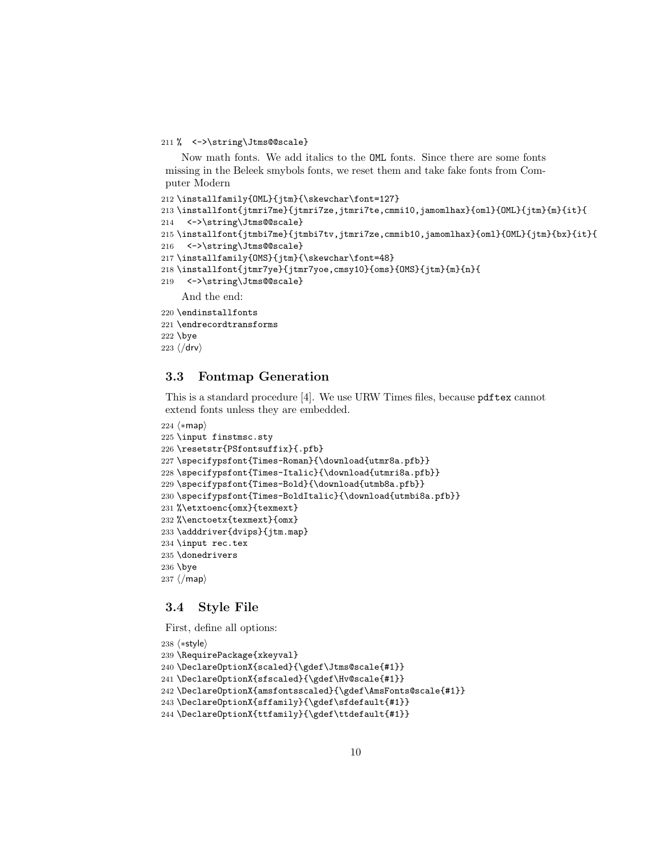#### 211 % <->\string\Jtms@@scale}

Now math fonts. We add italics to the OML fonts. Since there are some fonts missing in the Beleek smybols fonts, we reset them and take fake fonts from Computer Modern

```
212 \installfamily{OML}{jtm}{\skewchar\font=127}
213 \installfont{jtmri7me}{jtmri7ze,jtmri7te,cmmi10,jamomlhax}{oml}{OML}{jtm}{m}{it}{
214 <->\string\Jtms@@scale}
215 \installfont{jtmbi7me}{jtmbi7tv,jtmri7ze,cmmib10,jamomlhax}{oml}{OML}{jtm}{bx}{it}{
216 <->\string\Jtms@@scale}
217 \installfamily{OMS}{jtm}{\skewchar\font=48}
218 \installfont{jtmr7ye}{jtmr7yoe,cmsy10}{oms}{OMS}{jtm}{m}{n}{
219 <->\string\Jtms@@scale}
    And the end:
220 \endinstallfonts
221 \endrecordtransforms
```
\bye

```
223 \langle/drv\rangle
```
## <span id="page-9-0"></span>3.3 Fontmap Generation

This is a standard procedure [\[4\]](#page-18-3). We use URW Times files, because pdftex cannot extend fonts unless they are embedded.

```
224 \langle *map \rangle225 \input finstmsc.sty
226 \resetstr{PSfontsuffix}{.pfb}
227 \specifypsfont{Times-Roman}{\download{utmr8a.pfb}}
228 \specifypsfont{Times-Italic}{\download{utmri8a.pfb}}
229 \specifypsfont{Times-Bold}{\download{utmb8a.pfb}}
230 \specifypsfont{Times-BoldItalic}{\download{utmbi8a.pfb}}
231 %\etxtoenc{omx}{texmext}
232 %\enctoetx{texmext}{omx}
233 \adddriver{dvips}{jtm.map}
234 \input rec.tex
235 \donedrivers
236 \bye
237 \langle/map\rangle
```
## <span id="page-9-1"></span>3.4 Style File

First, define all options:

```
238 \langle *style \rangle239 \RequirePackage{xkeyval}
240 \DeclareOptionX{scaled}{\gdef\Jtms@scale{#1}}
241 \DeclareOptionX{sfscaled}{\gdef\Hv@scale{#1}}
242 \DeclareOptionX{amsfontsscaled}{\gdef\AmsFonts@scale{#1}}
243\DeclareOptionX{sffamily}{\gdef\sfdefault{#1}}
244 \DeclareOptionX{ttfamily}{\gdef\ttdefault{#1}}
```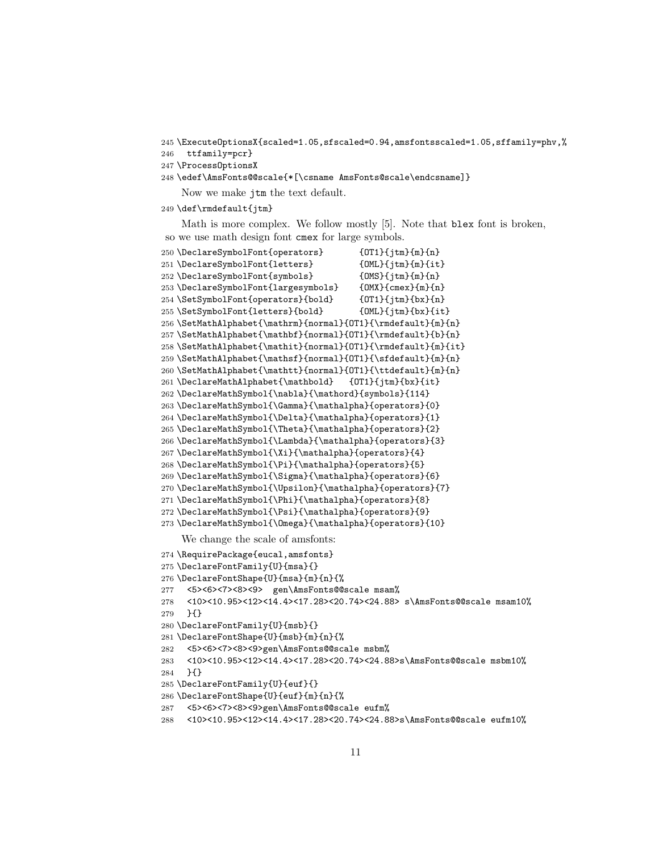\ExecuteOptionsX{scaled=1.05,sfscaled=0.94,amsfontsscaled=1.05,sffamily=phv,%

- ttfamily=pcr}
- \ProcessOptionsX
- \edef\AmsFonts@@scale{\*[\csname AmsFonts@scale\endcsname]} Now we make jtm the text default.
- \def\rmdefault{jtm}

Math is more complex. We follow mostly [\[5\]](#page-18-4). Note that blex font is broken, so we use math design font cmex for large symbols.

```
250 \DeclareSymbolFont{operators} {OT1}{jtm}{m}{n}
251 \DeclareSymbolFont{letters} {OML}{jtm}{m}{it}
252 \DeclareSymbolFont{symbols} {OMS}{jtm}{m}{n}
253 \DeclareSymbolFont{largesymbols} {OMX}{cmex}{m}{n}
254 \SetSymbolFont{operators}{bold} {OT1}{jtm}{bx}{n}
255 \SetSymbolFont{letters}{bold} {OML}{jtm}{bx}{it}
256 \SetMathAlphabet{\mathrm}{normal}{OT1}{\rmdefault}{m}{n}
257 \SetMathAlphabet{\mathbf}{normal}{OT1}{\rmdefault}{b}{n}
258 \SetMathAlphabet{\mathit}{normal}{OT1}{\rmdefault}{m}{it}
259 \SetMathAlphabet{\mathsf}{normal}{OT1}{\sfdefault}{m}{n}
260 \SetMathAlphabet{\mathtt}{normal}{OT1}{\ttdefault}{m}{n}
261 \DeclareMathAlphabet{\mathbold} {OT1}{jtm}{bx}{it}
262 \DeclareMathSymbol{\nabla}{\mathord}{symbols}{114}
263 \DeclareMathSymbol{\Gamma}{\mathalpha}{operators}{0}
264 \DeclareMathSymbol{\Delta}{\mathalpha}{operators}{1}
265 \DeclareMathSymbol{\Theta}{\mathalpha}{operators}{2}
266 \DeclareMathSymbol{\Lambda}{\mathalpha}{operators}{3}
267 \DeclareMathSymbol{\Xi}{\mathalpha}{operators}{4}
268 \DeclareMathSymbol{\Pi}{\mathalpha}{operators}{5}
269 \DeclareMathSymbol{\Sigma}{\mathalpha}{operators}{6}
270 \DeclareMathSymbol{\Upsilon}{\mathalpha}{operators}{7}
271 \DeclareMathSymbol{\Phi}{\mathalpha}{operators}{8}
272 \DeclareMathSymbol{\Psi}{\mathalpha}{operators}{9}
273 \DeclareMathSymbol{\Omega}{\mathalpha}{operators}{10}
    We change the scale of amsfonts:
274 \RequirePackage{eucal,amsfonts}
275 \DeclareFontFamily{U}{msa}{}
276 \DeclareFontShape{U}{msa}{m}{n}{%
277 <5><6><7><8><9> gen\AmsFonts@@scale msam%
278 <10><10.95><12><14.4><17.28><20.74><24.88> s\AmsFonts@@scale msam10%
279 }{}
280 \DeclareFontFamily{U}{msb}{}
281 \DeclareFontShape{U}{msb}{m}{n}{%
282 <5><6><7><8><9>gen\AmsFonts@@scale msbm%
283 <10><10.95><12><14.4><17.28><20.74><24.88>s\AmsFonts@@scale msbm10%
284 }{}
285 \DeclareFontFamily{U}{euf}{}
286 \DeclareFontShape{U}{euf}{m}{n}{%
287 <5><6><7><8><9>gen\AmsFonts@@scale eufm%
288 <10><10.95><12><14.4><17.28><20.74><24.88>s\AmsFonts@@scale eufm10%
```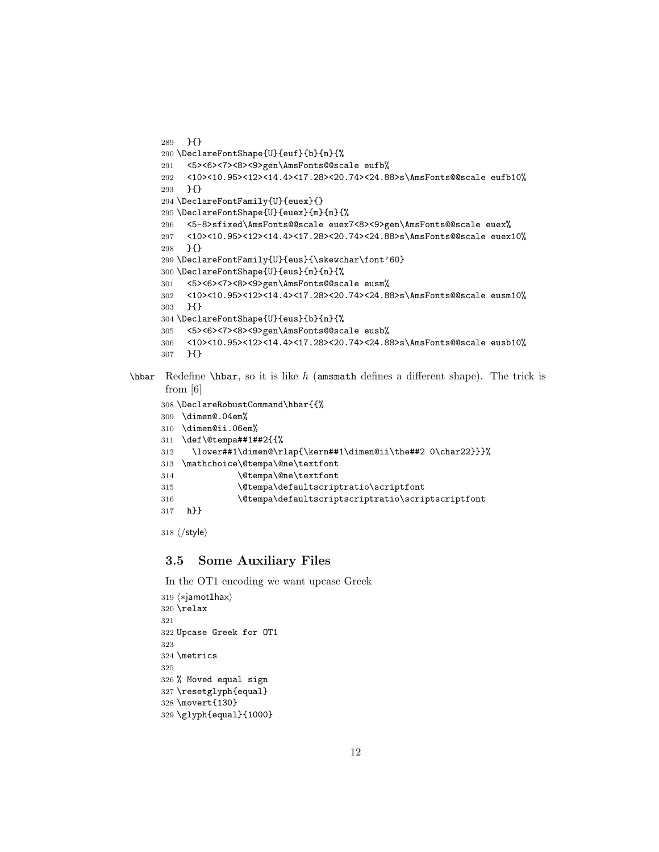```
289 }{}
290 \DeclareFontShape{U}{euf}{b}{n}{%
291 <5><6><7><8><9>gen\AmsFonts@@scale eufb%
292 <10><10.95><12><14.4><17.28><20.74><24.88>s\AmsFonts@@scale eufb10%
293 }{}
294 \DeclareFontFamily{U}{euex}{}
295 \DeclareFontShape{U}{euex}{m}{n}{%
296 <5-8>sfixed\AmsFonts@@scale euex7<8><9>gen\AmsFonts@@scale euex%
297 <10><10.95><12><14.4><17.28><20.74><24.88>s\AmsFonts@@scale euex10%
298 }{}
299 \DeclareFontFamily{U}{eus}{\skewchar\font'60}
300 \DeclareFontShape{U}{eus}{m}{n}{%
301 <5><6><7><8><9>gen\AmsFonts@@scale eusm%
302 <10><10.95><12><14.4><17.28><20.74><24.88>s\AmsFonts@@scale eusm10%
303 }{}
304 \DeclareFontShape{U}{eus}{b}{n}{%
305 <5><6><7><8><9>gen\AmsFonts@@scale eusb%
306 <10><10.95><12><14.4><17.28><20.74><24.88>s\AmsFonts@@scale eusb10%
307 }{}
```
 $\hbar$  Redefine  $\hbar$ , so it is like h (amsmath defines a different shape). The trick is from [\[6\]](#page-18-5)

```
308 \DeclareRobustCommand\hbar{{%
309 \dimen@.04em%
310 \dimen@ii.06em%
311 \def\@tempa##1##2{{%
312 \lower##1\dimen@\rlap{\kern##1\dimen@ii\the##2 0\char22}}}%
313 \mathchoice\@tempa\@ne\textfont
314 \@tempa\@ne\textfont
315 \@tempa\defaultscriptratio\scriptfont
316 \@tempa\defaultscriptscriptratio\scriptscriptfont
317 h}}
```
 $318 \langle$ /style $\rangle$ 

### <span id="page-11-0"></span>3.5 Some Auxiliary Files

In the OT1 encoding we want upcase Greek

```
319 (*jamot1hax)
320 \relax
321
322 Upcase Greek for OT1
323
324 \metrics
325
326 % Moved equal sign
327 \resetglyph{equal}
328 \movert{130}
329 \glyph{equal}{1000}
```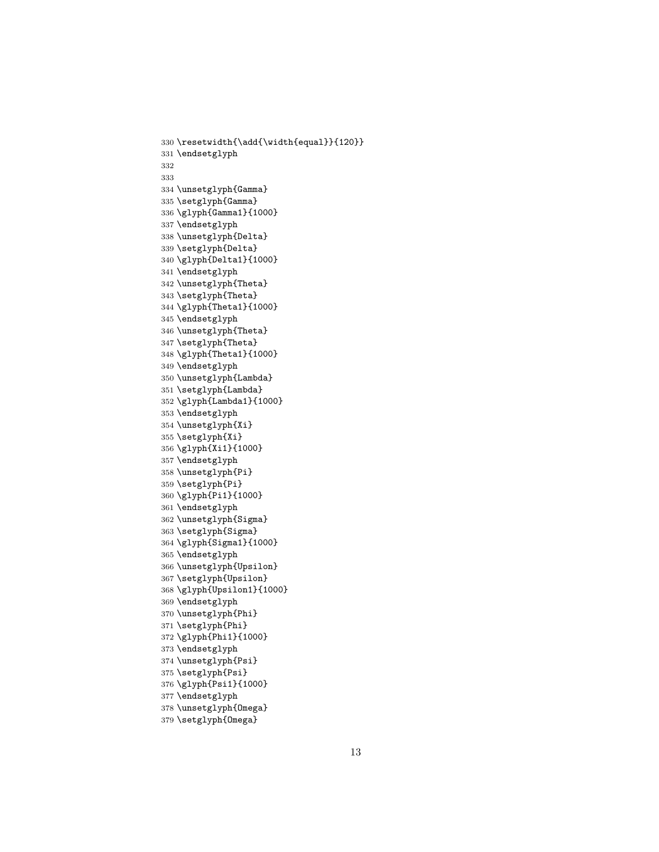```
330 \resetwidth{\add{\width{equal}}{120}}
331 \endsetglyph
332
333
334 \unsetglyph{Gamma}
335 \setglyph{Gamma}
336 \glyph{Gamma1}{1000}
337 \endsetglyph
338 \unsetglyph{Delta}
339 \setglyph{Delta}
340 \glyph{Delta1}{1000}
341 \endsetglyph
342 \unsetglyph{Theta}
343 \setglyph{Theta}
344 \glyph{Theta1}{1000}
345 \endsetglyph
346 \unsetglyph{Theta}
347 \setglyph{Theta}
348 \glyph{Theta1}{1000}
349 \endsetglyph
350 \unsetglyph{Lambda}
351 \setglyph{Lambda}
352 \glyph{Lambda1}{1000}
353 \endsetglyph
354 \unsetglyph{Xi}
355 \setglyph{Xi}
356 \glyph{Xi1}{1000}
357 \endsetglyph
358 \unsetglyph{Pi}
359 \setglyph{Pi}
360 \glyph{Pi1}{1000}
361 \endsetglyph
362 \unsetglyph{Sigma}
363 \setglyph{Sigma}
364 \glyph{Sigma1}{1000}
365 \endsetglyph
366 \unsetglyph{Upsilon}
367 \setglyph{Upsilon}
368 \glyph{Upsilon1}{1000}
369 \endsetglyph
370 \unsetglyph{Phi}
371 \setglyph{Phi}
372 \glyph{Phi1}{1000}
373 \endsetglyph
374 \unsetglyph{Psi}
375 \setglyph{Psi}
376 \glyph{Psi1}{1000}
377 \endsetglyph
378 \unsetglyph{Omega}
379 \setglyph{Omega}
```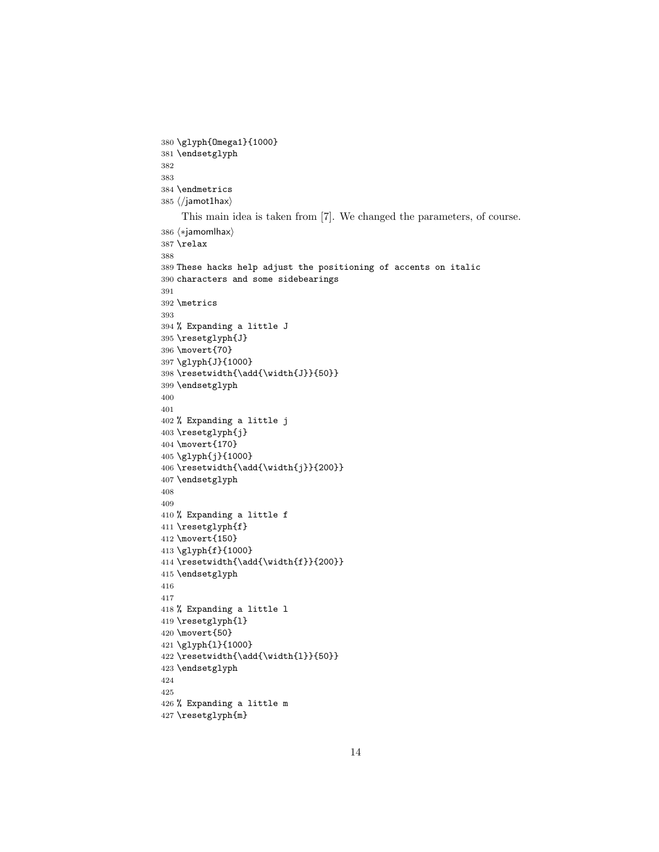```
380 \glyph{Omega1}{1000}
381 \endsetglyph
382
383
384 \endmetrics
385 \langle/jamot1hax\rangleThis main idea is taken from [7]. We changed the parameters, of course.
386 (*jamomlhax)
387 \relax
388
389 These hacks help adjust the positioning of accents on italic
390 characters and some sidebearings
391
392 \metrics
393
394 % Expanding a little J
395 \resetglyph{J}
396 \movert{70}
397 \glyph{J}{1000}
398 \resetwidth{\add{\width{J}}{50}}
399 \endsetglyph
400
401
402 % Expanding a little j
403 \resetglyph{j}
404 \movert{170}
405 \glyph{j}{1000}
406 \resetwidth{\add{\width{j}}{200}}
407 \endsetglyph
408
409
410 % Expanding a little f
411 \resetglyph{f}
412 \movert{150}
413 \glyph{f}{1000}
414 \resetwidth{\add{\width{f}}{200}}
415 \endsetglyph
416
417
418 % Expanding a little l
419 \resetglyph{l}
420 \movert{50}
421 \glyph{l}{1000}
422 \resetwidth{\add{\width{l}}{50}}
423 \endsetglyph
424
425
426 % Expanding a little m
```

```
427 \resetglyph{m}
```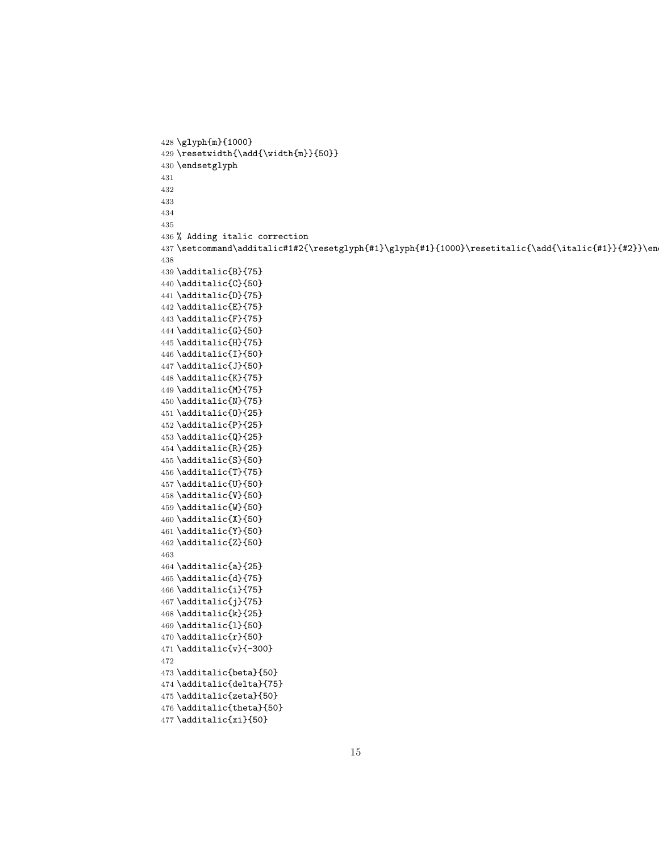```
428 \glyph{m}{1000}
429 \resetwidth{\add{\width{m}}{50}}
430 \endsetglyph
431
432
433
434
435
436 % Adding italic correction
437\setcommand\additalic#1#2{\resetglyph{#1}\glyph{#1}{1000}\resetitalic{\add{\italic{#1}}{#2}}\en
438
439 \additalic{B}{75}
440 \additalic{C}{50}
441 \additalic{D}{75}
442 \additalic{E}{75}
443 \additalic{F}{75}
444 \additalic{G}{50}
445 \additalic{H}{75}
446 \additalic{I}{50}
447 \additalic{J}{50}
448 \additalic{K}{75}
449 \additalic{M}{75}
450 \additalic{N}{75}
451 \additalic{O}{25}
452 \additalic{P}{25}
453 \additalic{Q}{25}
454 \additalic{R}{25}
455 \additalic{S}{50}
456 \additalic{T}{75}
457 \additalic{U}{50}
458 \additalic{V}{50}
459 \additalic{W}{50}
460 \additalic{X}{50}
461 \additalic{Y}{50}
462 \additalic{Z}{50}
463
464 \additalic{a}{25}
465 \additalic{d}{75}
466 \additalic{i}{75}
467 \additalic{j}{75}
468 \additalic{k}{25}
469 \additalic{l}{50}
470 \additalic{r}{50}
471 \additalic{v}{-300}
472
473 \additalic{beta}{50}
474 \additalic{delta}{75}
475 \additalic{zeta}{50}
476 \additalic{theta}{50}
477 \additalic{xi}{50}
```

```
15
```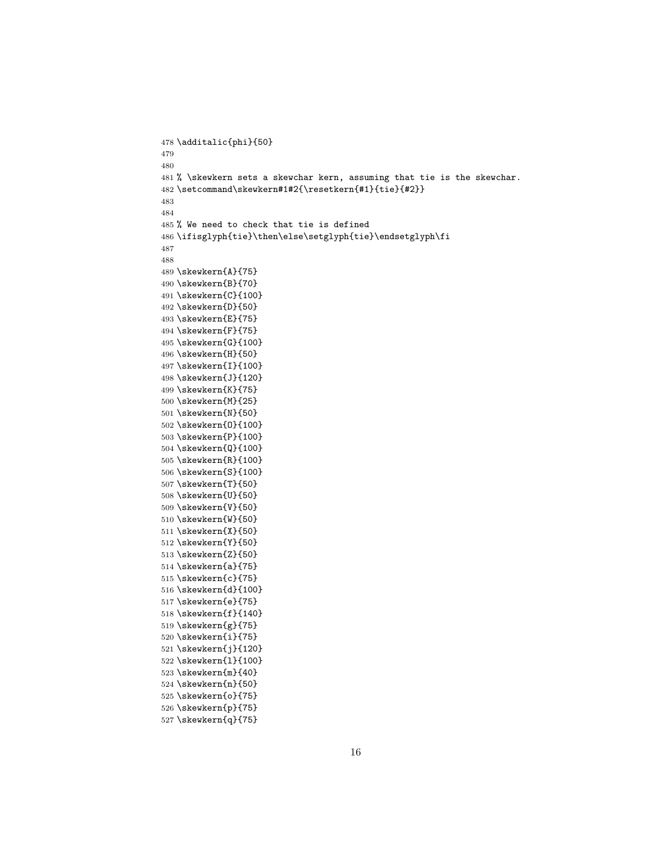```
478 \additalic{phi}{50}
479
480
481 % \skewkern sets a skewchar kern, assuming that tie is the skewchar.
482 \setcommand\skewkern#1#2{\resetkern{#1}{tie}{#2}}
483
484
485 % We need to check that tie is defined
486 \ifisglyph{tie}\then\else\setglyph{tie}\endsetglyph\fi
487
488
489 \skewkern{A}{75}
490 \skewkern{B}{70}
491 \skewkern{C}{100}
492 \skewkern{D}{50}
493 \skewkern{E}{75}
494 \skewkern{F}{75}
495 \skewkern{G}{100}
496 \skewkern{H}{50}
497 \skewkern{I}{100}
498 \skewkern{J}{120}
499 \skewkern{K}{75}
500 \skewkern{M}{25}
501 \skewkern{N}{50}
502 \skewkern{O}{100}
503 \skewkern{P}{100}
504 \skewkern{Q}{100}
505 \skewkern{R}{100}
506 \skewkern{S}{100}
507 \skewkern{T}{50}
508 \skewkern{U}{50}
509 \skewkern{V}{50}
510 \skewkern{W}{50}
511 \skewkern{X}{50}
512 \skewkern{Y}{50}
513 \skewkern{Z}{50}
514 \skewkern{a}{75}
515 \skewkern{c}{75}
516 \skewkern{d}{100}
517 \skewkern{e}{75}
518 \skewkern{f}{140}
519 \skewkern{g}{75}
520 \skewkern{i}{75}
521 \skewkern{j}{120}
522 \skewkern{l}{100}
523 \skewkern{m}{40}
524 \skewkern{n}{50}
525 \skewkern{o}{75}
526 \skewkern{p}{75}
527 \skewkern{q}{75}
```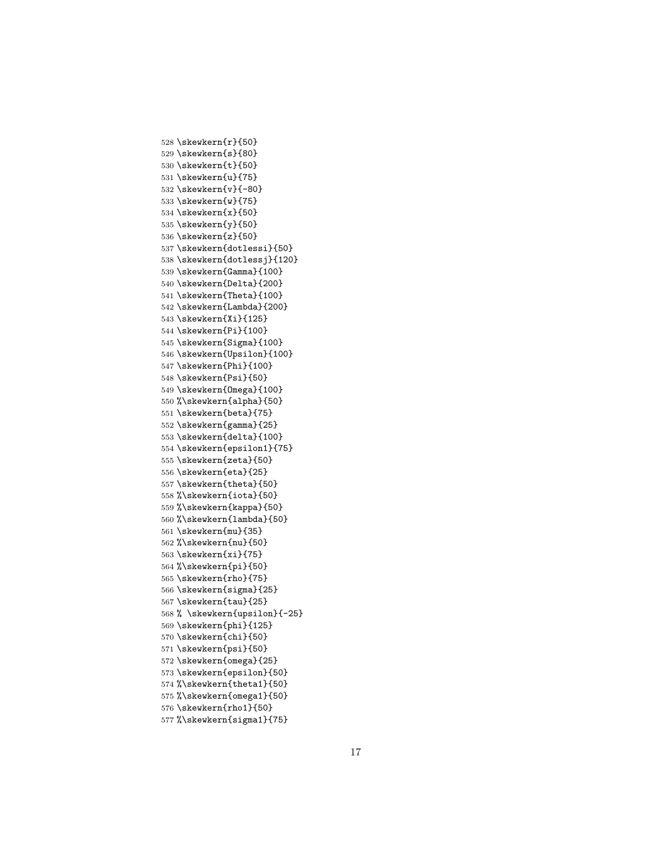```
528 \skewkern{r}{50}
529 \skewkern{s}{80}
530 \skewkern{t}{50}
531 \skewkern{u}{75}
532 \skewkern{v}{-80}
533 \skewkern{w}{75}
534 \skewkern{x}{50}
535 \skewkern{y}{50}
536 \skewkern{z}{50}
537 \skewkern{dotlessi}{50}
538 \skewkern{dotlessj}{120}
539 \skewkern{Gamma}{100}
540 \skewkern{Delta}{200}
541 \skewkern{Theta}{100}
542 \skewkern{Lambda}{200}
543 \skewkern{Xi}{125}
544 \skewkern{Pi}{100}
545 \skewkern{Sigma}{100}
546 \skewkern{Upsilon}{100}
547 \skewkern{Phi}{100}
548 \skewkern{Psi}{50}
549 \skewkern{Omega}{100}
550 %\skewkern{alpha}{50}
551 \skewkern{beta}{75}
552 \skewkern{gamma}{25}
553 \skewkern{delta}{100}
554 \skewkern{epsilon1}{75}
555 \skewkern{zeta}{50}
556 \skewkern{eta}{25}
557 \skewkern{theta}{50}
558 %\skewkern{iota}{50}
559 %\skewkern{kappa}{50}
560 %\skewkern{lambda}{50}
561 \skewkern{mu}{35}
562 %\skewkern{nu}{50}
563 \skewkern{xi}{75}
564 %\skewkern{pi}{50}
565 \skewkern{rho}{75}
566 \skewkern{sigma}{25}
567 \skewkern{tau}{25}
568 % \skewkern{upsilon}{-25}
569 \skewkern{phi}{125}
570 \skewkern{chi}{50}
571 \skewkern{psi}{50}
572 \skewkern{omega}{25}
573 \skewkern{epsilon}{50}
574 %\skewkern{theta1}{50}
575 %\skewkern{omega1}{50}
576 \skewkern{rho1}{50}
577 %\skewkern{sigma1}{75}
```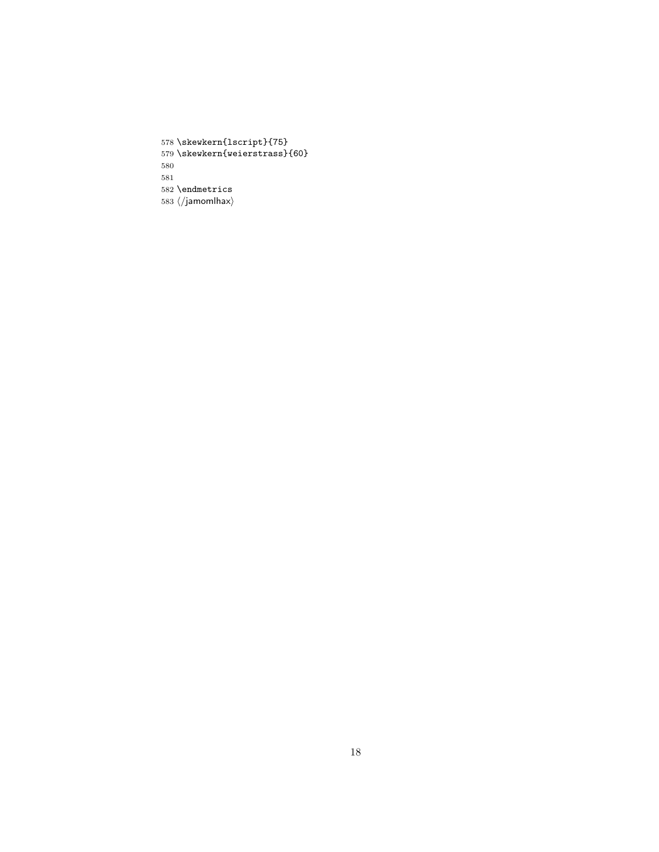\skewkern{lscript}{75} \skewkern{weierstrass}{60} \endmetrics  $\langle$ /jamomlhax $\rangle$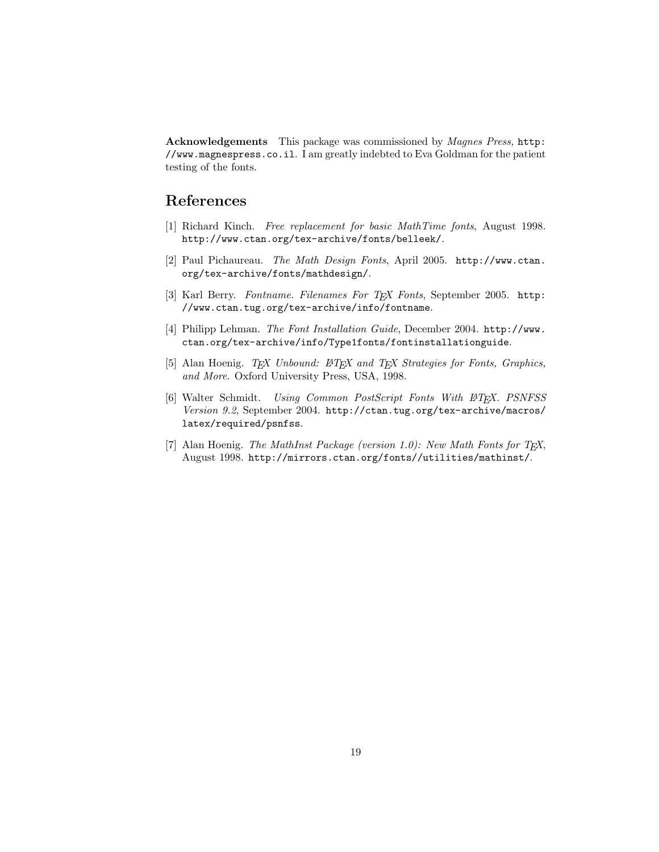Acknowledgements This package was commissioned by *Magnes Press*, [http:](http://www.magnespress.co.il) [//www.magnespress.co.il](http://www.magnespress.co.il). I am greatly indebted to Eva Goldman for the patient testing of the fonts.

## References

- <span id="page-18-0"></span>[1] Richard Kinch. Free replacement for basic MathTime fonts, August 1998. <http://www.ctan.org/tex-archive/fonts/belleek/>.
- <span id="page-18-1"></span>[2] Paul Pichaureau. The Math Design Fonts, April 2005. [http://www.ctan.](http://www.ctan.org/tex-archive/fonts/mathdesign/) [org/tex-archive/fonts/mathdesign/](http://www.ctan.org/tex-archive/fonts/mathdesign/).
- <span id="page-18-2"></span>[3] Karl Berry. Fontname. Filenames For TFX Fonts, September 2005. [http:](http://www.ctan.tug.org/tex-archive/info/fontname) [//www.ctan.tug.org/tex-archive/info/fontname](http://www.ctan.tug.org/tex-archive/info/fontname).
- <span id="page-18-3"></span>[4] Philipp Lehman. The Font Installation Guide, December 2004. [http://www.](http://www.ctan.org/tex-archive/info/Type1fonts/fontinstallationguide) [ctan.org/tex-archive/info/Type1fonts/fontinstallationguide](http://www.ctan.org/tex-archive/info/Type1fonts/fontinstallationguide).
- <span id="page-18-4"></span>[5] Alan Hoenig. TEX Unbound: LATEX and TEX Strategies for Fonts, Graphics, and More. Oxford University Press, USA, 1998.
- <span id="page-18-5"></span>[6] Walter Schmidt. Using Common PostScript Fonts With L<sup>A</sup>T<sub>F</sub>X. PSNFSS Version 9.2, September 2004. [http://ctan.tug.org/tex-archive/macros/](http://ctan.tug.org/tex-archive/macros/latex/required/psnfss) [latex/required/psnfss](http://ctan.tug.org/tex-archive/macros/latex/required/psnfss).
- <span id="page-18-6"></span>[7] Alan Hoenig. The MathInst Package (version 1.0): New Math Fonts for  $T_F X$ , August 1998. <http://mirrors.ctan.org/fonts//utilities/mathinst/>.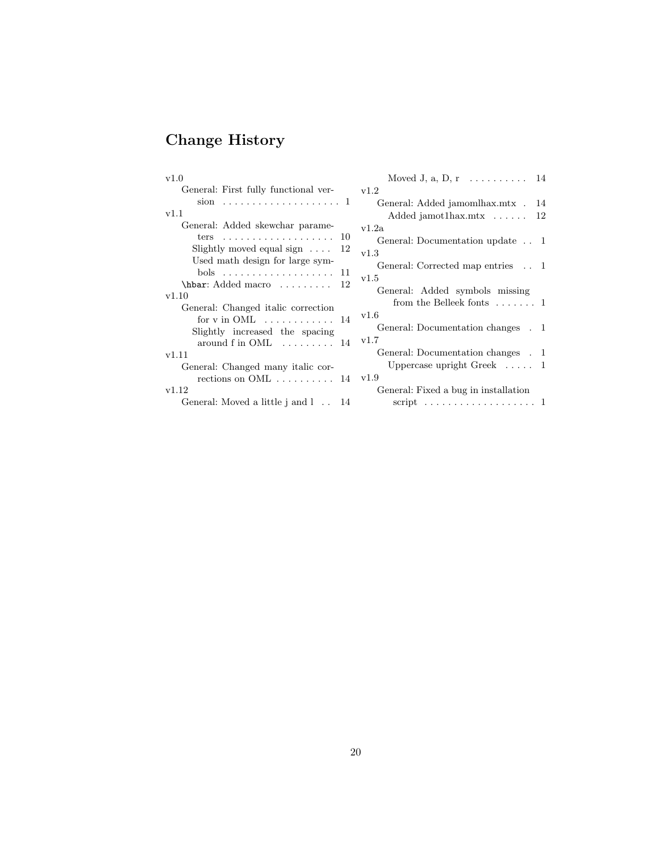# Change History

| v1.0                                        | Moved J, a, D, r $\ldots \ldots \ldots 14$ |
|---------------------------------------------|--------------------------------------------|
| General: First fully functional ver-        | v1.2                                       |
|                                             | General: Added jamomlhax.mtx.<br>14        |
| v1.1                                        | Added jamot1hax.mtx $\dots \dots 12$       |
| General: Added skewchar parame-             | v1.2a                                      |
| ters $10$                                   | General: Documentation update 1            |
| Slightly moved equal sign $\dots$ 12        | v1.3                                       |
| Used math design for large sym-             | General: Corrected map entries . 1         |
| $\hbar$ ar: Added macro  12                 | v1.5                                       |
| v1.10                                       | General: Added symbols missing             |
| General: Changed italic correction          | from the Belleek fonts $\dots \dots 1$     |
| for $v$ in OML $\dots \dots \dots \dots 14$ | v1.6                                       |
| Slightly increased the spacing              | General: Documentation changes . 1         |
| around f in $OML$ 14                        | v1.7                                       |
| v1.11                                       | General: Documentation changes . 1         |
| General: Changed many italic cor-           | Uppercase upright Greek $\dots$ 1          |
| rections on $OML$ 14                        | v1.9                                       |
| v1.12                                       | General: Fixed a bug in installation       |
| General: Moved a little j and l 14          |                                            |
|                                             |                                            |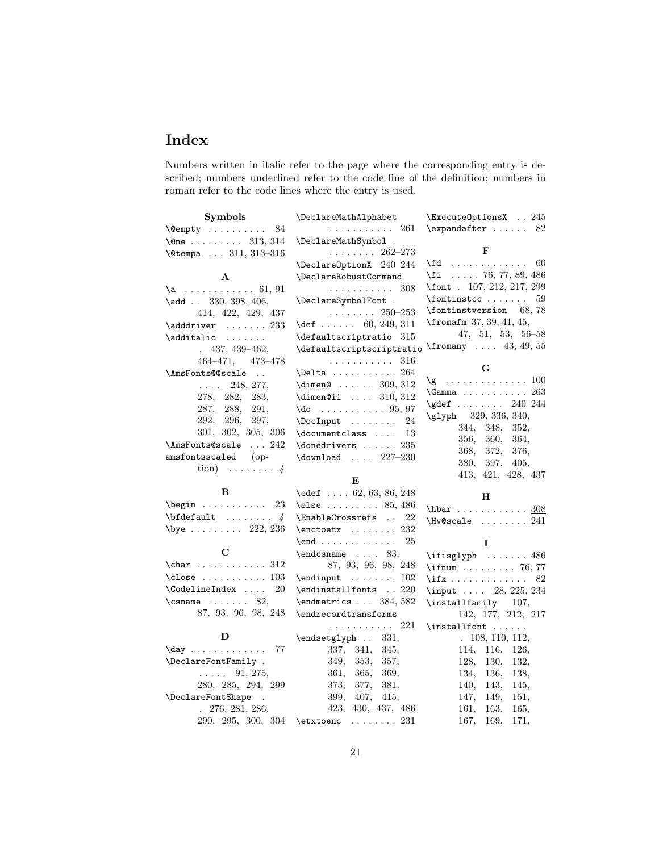# Index

Numbers written in italic refer to the page where the corresponding entry is described; numbers underlined refer to the code line of the definition; numbers in roman refer to the code lines where the entry is used.

| <b>Symbols</b>                                                                 | \DeclareMathAlphabet                                 | \ExecuteOptionsX . 245                       |
|--------------------------------------------------------------------------------|------------------------------------------------------|----------------------------------------------|
| $\text{Qempty} \dots \dots \dots \ 84$                                         | . 261                                                | \expandafter  82                             |
| $\{\text{One } \ldots \ldots \quad 313, 314\}$                                 | \DeclareMathSymbol.                                  |                                              |
| \@tempa  311, 313-316                                                          | . $262-273$                                          | F                                            |
|                                                                                | \DeclareOptionX 240-244                              | $\text{Id}$ 60                               |
| $\mathbf{A}$                                                                   | \DeclareRobustCommand                                | \fi  76, 77, 89, 486                         |
| $a$ 61, 91                                                                     | . 308                                                | \font . 107, 212, 217, 299                   |
| $\lambda$ dd  330, 398, 406,                                                   | \DeclareSymbolFont .                                 | $\forall$ fontinstcc 59                      |
| 414, 422, 429, 437                                                             | $\ldots \ldots \ldots 250 - 253$                     | \fontinstversion 68,78                       |
| $\adddriver \dots 233$                                                         | $\det$ 60, 249, 311                                  | $\frac{1}{1}$ , 41, 45, 41, 45,              |
| \additalic                                                                     | \defaultscriptratio 315                              | $47, 51, 53, 56-58$                          |
| $.437,439-462,$                                                                | \defaultscriptscriptratio                            | $\frac{43}{49}$ , 55                         |
| $464 - 471, 473 - 478$                                                         | . 316                                                | G                                            |
| \AmsFonts@@scale                                                               | $\Delta$ 264                                         |                                              |
| 248, 277,                                                                      | $\dim$ en@  309, 312                                 |                                              |
| 278, 282,<br>283,                                                              | $\dim$ en@ii  310, 312                               | $\qquad \qquad \qquad \qquad 240-244$        |
| 287, 288,<br>291,                                                              | $\{do \ldots \ldots \ldots 95, 97$                   | \glyph 329, 336, 340,                        |
| 292, 296, 297,                                                                 | 24                                                   | 344, 348, 352,                               |
| 301, 302, 305, 306                                                             | $\doteq$ $\ldots$ 13                                 | 360,<br>356,<br>364,                         |
| $\Lambda$ msFonts@scale $242$                                                  | $\label{cor:concl} \verb+\donedrivers + \dots + 235$ | 372,<br>368,<br>376,                         |
| $\,$ amsfontsscaled $\,$ (op-                                                  | \download $\ldots$ 227-230                           | 380, 397, 405,                               |
| tion) $\ldots \ldots \ldots$                                                   |                                                      | 413, 421, 428, 437                           |
|                                                                                | Е                                                    |                                              |
| в                                                                              | $\text{48}$ 62, 63, 86, 248                          | н                                            |
| $\begin{bmatrix} 23 \end{bmatrix}$                                             | $\text{else} \dots \dots \dots \ 85,486$             | $hbar$ 308                                   |
| $\boldsymbol{\lambda}$                                                         | 22<br>\EnableCrossrefs                               | $\N$                                         |
| $\begin{array}{ccc} \text{1} & \text{222, 236} \\ \text{222, 236} \end{array}$ | $\text{check } \dots \dots 232$                      |                                              |
|                                                                                | $\end$ 25                                            | I                                            |
| С                                                                              | $\end{math}$ 83,                                     | $\text{isglyph} \dots \dots \ 486$           |
| $\char'0 312$                                                                  | 87, 93, 96, 98, 248                                  | $\iintnum$ 76, 77                            |
| $\text{close}$ 103                                                             | $\end{input}$ 102                                    |                                              |
| \CodelineIndex<br>20                                                           | $\verb+\endinstallfonts~~.~220$                      | \input  28, 225, 234                         |
| $\{\text{csname} \dots \text{82},\}$                                           | $\end{metrics} \dots 384, 582$                       | \installfamily 107,                          |
| 87, 93, 96, 98, 248                                                            | \endrecordtransforms                                 | 142, 177, 212, 217                           |
| D                                                                              | . 221                                                |                                              |
|                                                                                | \endsetglyph<br>331,                                 | .108, 110, 112,                              |
| $\day \dots \dots \dots \dots$<br>77                                           | 337, 341,<br>345,                                    | 114, 116, 126,                               |
| \DeclareFontFamily .<br>$\ldots$ 91, 275,                                      | 349, 353,<br>357,                                    | 128,<br>130,<br>132,                         |
| 280, 285, 294, 299                                                             | 361, 365,<br>369,<br>373, 377,<br>381,               | 134,<br>136,<br>138,                         |
| \DeclareFontShape<br>$\sim$                                                    | 399, 407,<br>415,                                    | 140,<br>143,<br>145,<br>147,<br>149,<br>151, |
| $. \ 276, 281, 286,$                                                           | 423, 430, 437, 486                                   | 161,<br>163,<br>165,                         |
| 290, 295, 300, 304                                                             | $\text{tetxtoenc} \ldots \ldots 231$                 | 167,<br>169,<br>171,                         |
|                                                                                |                                                      |                                              |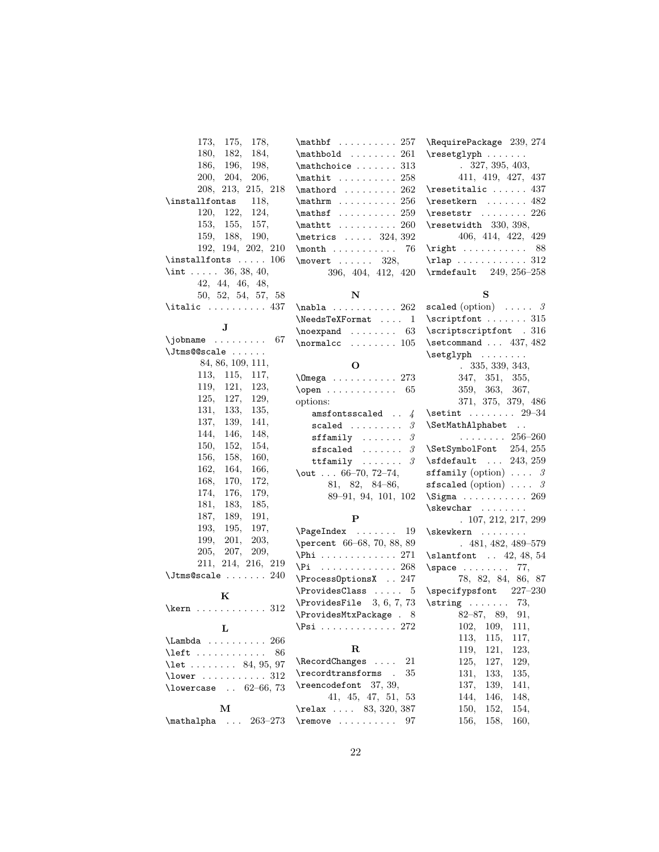| 173,<br>178,<br>175,                   | $\mathbf{h}$ 257                       | \RequirePackage 239, 274                |
|----------------------------------------|----------------------------------------|-----------------------------------------|
| 180,<br>182,<br>184,                   | $\mathbf{A} \ldots \ldots 261$         | $\text{reglyph} \dots \dots$            |
| 186,<br>196,<br>198,                   | $\mathcal{L}$ athchoice  313           | .327, 395, 403,                         |
| 204,<br>206,<br>200,                   | $\mathcal{t} \ldots \ldots \ldots 258$ | 411, 419, 427, 437                      |
| 208, 213, 215, 218                     | $\mathcal{C}$ 262                      | $\verb+\resetitalic \ 437$              |
| \installfontas<br>118,                 | $\mathbf{m} \dots \dots \dots 256$     | $\text{resetkern} \dots \dots 482$      |
| 120,<br>122,<br>124,                   | $\mathbf{f} \ldots \ldots \ 259$       | $\text{resetstr}$ 226                   |
| 153,<br>155,<br>157,                   | $\mathcal{b}$ 260                      | \resetwidth 330, 398,                   |
| 159, 188,<br>190,                      | $\text{metrics} \ldots \quad 324, 392$ | 406, 414, 422, 429                      |
| 192, 194, 202, 210                     | $\mathcal{L}$<br>76                    | $\right. 88$                            |
| $\in$ 106                              | \movert $\dots 328$ ,                  | $\tau$ ap  312                          |
| \int  36, 38, 40,                      | 396, 404, 412, 420                     | $\mathcal{t}$ 249, 256-258              |
| 42, 44, 46, 48,                        |                                        |                                         |
| 50, 52, 54, 57, 58                     | ${\bf N}$                              | ${\bf S}$                               |
| $\tilde{37}$                           | $\nabla$ abla  262                     | scaled (option) $\ldots$ . 3            |
|                                        | \NeedsTeXFormat<br>1                   | $\scriptstyle\setminus$ scriptfont  315 |
| $\mathbf{J}$                           | $\neq$ $\dots$<br>63                   | \scriptscriptfont . 316                 |
| 67                                     | $\{normalcc \dots \dots 105\}$         | $\setminus$ setcommand  437, 482        |
| \Jtms@@scale                           |                                        |                                         |
| 84, 86, 109, 111,                      | $\mathbf{O}$                           | .335, 339, 343,                         |
| 115,<br>113.<br>117,                   | \Omega  273                            | 347, 351,<br>355,                       |
| 119,<br>121,<br>123,                   | $\open$ 65                             | 359, 363,<br>367,                       |
| 125,<br>127,<br>129,                   | options:                               | 371, 375, 379, 486                      |
| 131,<br>133,<br>135,                   | amsfontsscaled<br>$\frac{1}{4}$        | $\setminus$ setint $29-34$              |
| 137,<br>139,<br>141,                   | $scaled$<br>3                          | \SetMathAlphabet                        |
| 144,<br>146,<br>148,                   | $\mathcal{S}$<br>$sffamily  \ldots$    | $\ldots \ldots \ldots 256-260$          |
| 150,<br>152,<br>154,                   | $sfscaled$<br>3                        | 254, 255<br>\SetSymbolFont              |
| 156,<br>158,<br>160,                   | $ttfamily \ldots \ldots$<br>3          | $\setminus$ sfdefault  243, 259         |
| 162,<br>164,<br>166,                   | \out $\ldots$ 66-70, 72-74,            | sffamily (option) $\ldots$ 3            |
| 168,<br>170,<br>172,                   |                                        | sfscaled (option) $\ldots$ 3            |
| 174,<br>176,<br>179,                   | $81, 82, 84-86,$                       | $\Sigma$ 269                            |
| 181,<br>183,<br>185,                   | 89-91, 94, 101, 102                    | $\s$ kewchar                            |
| 187,<br>189,<br>191,                   | P                                      | . 107, 212, 217, 299                    |
| 193,<br>195,<br>197,                   |                                        |                                         |
| 201,<br>199,<br>203,                   | 19                                     | $\simeq$                                |
| 207,<br>205,<br>209,                   | \percent 66-68, 70, 88, 89             | $.481, 482, 489 - 579$                  |
| 211, 214, 216, 219                     | \Phi 271                               | $\lambda$ 12, 48, 54                    |
| $\lambda$ J $t$ ms@scale $240$         | $\Pi$ 268                              | $\simeq$<br>77,                         |
|                                        | \ProcessOptionsX  247                  | 78, 82, 84, 86, 87                      |
| K                                      | \ProvidesClass<br>5                    | \specifypsfont 227-230                  |
| $\ker n$ 312                           | $\PrevidesFile 3, 6, 7, 73$            | $\text{string} \ldots \ldots \quad 73,$ |
|                                        | \ProvidesMtxPackage . 8                | $82 - 87, 89, 91,$                      |
| L                                      | $\Psi$ : 272                           | 109,<br>102,<br>111,                    |
| $\Lambda$ 266                          |                                        | 113,<br>115,<br>117,                    |
| \left<br>86                            | $\mathbf R$                            | 119,<br>121,<br>123,                    |
| $\text{let } \ldots \ldots 84, 95, 97$ | 21<br>\RecordChanges                   | 125,<br>127,<br>129,                    |
| $\text{lower} \dots \dots \dots \ 312$ | \recordtransforms .<br>35              | 131,<br>133,<br>135,                    |
| \lowercase $. 62-66, 73$               | \reencodefont 37, 39,                  | 137,<br>139,<br>141,                    |
|                                        | 41, 45, 47, 51, 53                     | 146,<br>144,<br>148,                    |
| М                                      | $\text{relax} \dots 83, 320, 387$      | 150,<br>152,<br>154,                    |
| $\mathcal{L}$<br>$263 - 273$           | $\text{remove} \ldots \ldots$<br>97    | 158,<br>156,<br>160,                    |